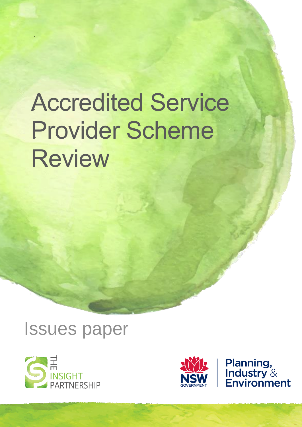# Accredited Service Provider Scheme **Review**







**Planning,<br>Industry &<br>Environment**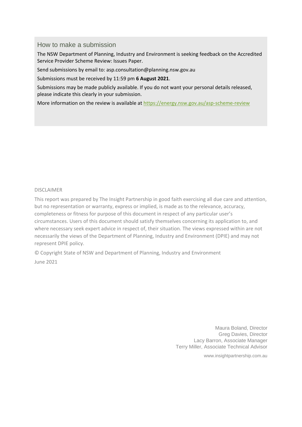## How to make a submission

The NSW Department of Planning, Industry and Environment is seeking feedback on the Accredited Service Provider Scheme Review: Issues Paper.

Send submissions by email to: asp.consultation@planning.nsw.gov.au

Submissions must be received by 11:59 pm **6 August 2021**.

Submissions may be made publicly available. If you do not want your personal details released, please indicate this clearly in your submission.

More information on the review is available at<https://energy.nsw.gov.au/asp-scheme-review>

## DISCLAIMER

This report was prepared by The Insight Partnership in good faith exercising all due care and attention, but no representation or warranty, express or implied, is made as to the relevance, accuracy, completeness or fitness for purpose of this document in respect of any particular user's circumstances. Users of this document should satisfy themselves concerning its application to, and where necessary seek expert advice in respect of, their situation. The views expressed within are not necessarily the views of the Department of Planning, Industry and Environment (DPIE) and may not represent DPIE policy.

© Copyright State of NSW and Department of Planning, Industry and Environment June 2021

> Maura Boland, Director Greg Davies, Director Lacy Barron, Associate Manager Terry Miller, Associate Technical Advisor

> > [www.insightpartnership.com.au](http://www.insightpartnership.com.au/)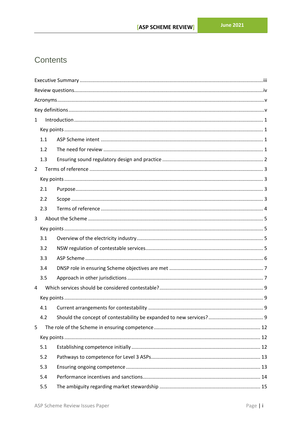# Contents

| $\mathbf{1}$   |     |  |  |  |  |
|----------------|-----|--|--|--|--|
|                |     |  |  |  |  |
|                | 1.1 |  |  |  |  |
|                | 1.2 |  |  |  |  |
|                | 1.3 |  |  |  |  |
| $\overline{2}$ |     |  |  |  |  |
|                |     |  |  |  |  |
|                | 2.1 |  |  |  |  |
|                | 2.2 |  |  |  |  |
|                | 2.3 |  |  |  |  |
| 3              |     |  |  |  |  |
|                |     |  |  |  |  |
|                | 3.1 |  |  |  |  |
|                | 3.2 |  |  |  |  |
|                | 3.3 |  |  |  |  |
|                | 3.4 |  |  |  |  |
|                | 3.5 |  |  |  |  |
| 4              |     |  |  |  |  |
|                |     |  |  |  |  |
|                | 4.1 |  |  |  |  |
|                | 4.2 |  |  |  |  |
| 5              |     |  |  |  |  |
|                |     |  |  |  |  |
|                | 5.1 |  |  |  |  |
|                | 5.2 |  |  |  |  |
|                | 5.3 |  |  |  |  |
|                | 5.4 |  |  |  |  |
|                | 5.5 |  |  |  |  |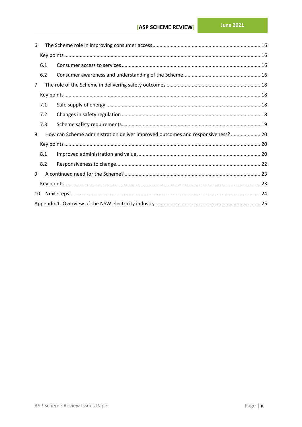| 6              |     |                                                                                |  |  |
|----------------|-----|--------------------------------------------------------------------------------|--|--|
|                |     |                                                                                |  |  |
|                | 6.1 |                                                                                |  |  |
|                | 6.2 |                                                                                |  |  |
| $\overline{7}$ |     |                                                                                |  |  |
|                |     |                                                                                |  |  |
|                | 7.1 |                                                                                |  |  |
|                | 7.2 |                                                                                |  |  |
|                | 7.3 |                                                                                |  |  |
| 8              |     | How can Scheme administration deliver improved outcomes and responsiveness? 20 |  |  |
|                |     |                                                                                |  |  |
|                | 8.1 |                                                                                |  |  |
|                | 8.2 |                                                                                |  |  |
| 9              |     |                                                                                |  |  |
|                |     |                                                                                |  |  |
| 10             |     |                                                                                |  |  |
|                |     |                                                                                |  |  |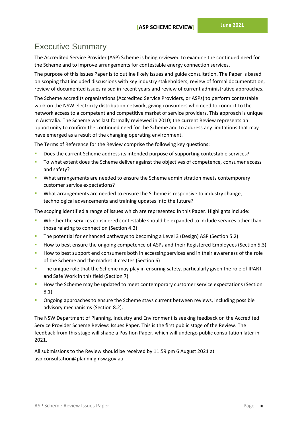# <span id="page-4-0"></span>Executive Summary

The Accredited Service Provider (ASP) Scheme is being reviewed to examine the continued need for the Scheme and to improve arrangements for contestable energy connection services.

The purpose of this Issues Paper is to outline likely issues and guide consultation. The Paper is based on scoping that included discussions with key industry stakeholders, review of formal documentation, review of documented issues raised in recent years and review of current administrative approaches.

The Scheme accredits organisations (Accredited Service Providers, or ASPs) to perform contestable work on the NSW electricity distribution network, giving consumers who need to connect to the network access to a competent and competitive market of service providers. This approach is unique in Australia. The Scheme was last formally reviewed in 2010; the current Review represents an opportunity to confirm the continued need for the Scheme and to address any limitations that may have emerged as a result of the changing operating environment.

The Terms of Reference for the Review comprise the following key questions:

- Does the current Scheme address its intended purpose of supporting contestable services?
- To what extent does the Scheme deliver against the objectives of competence, consumer access and safety?
- **What arrangements are needed to ensure the Scheme administration meets contemporary** customer service expectations?
- What arrangements are needed to ensure the Scheme is responsive to industry change, technological advancements and training updates into the future?

The scoping identified a range of issues which are represented in this Paper. Highlights include:

- Whether the services considered contestable should be expanded to include services other than those relating to connection (Section 4.2)
- The potential for enhanced pathways to becoming a Level 3 (Design) ASP (Section 5.2)
- How to best ensure the ongoing competence of ASPs and their Registered Employees (Section 5.3)
- How to best support end consumers both in accessing services and in their awareness of the role of the Scheme and the market it creates (Section 6)
- The unique role that the Scheme may play in ensuring safety, particularly given the role of IPART and Safe Work in this field (Section 7)
- How the Scheme may be updated to meet contemporary customer service expectations (Section 8.1)
- Ongoing approaches to ensure the Scheme stays current between reviews, including possible advisory mechanisms (Section 8.2).

The NSW Department of Planning, Industry and Environment is seeking feedback on the Accredited Service Provider Scheme Review: Issues Paper. This is the first public stage of the Review. The feedback from this stage will shape a Position Paper, which will undergo public consultation later in 2021.

All submissions to the Review should be received by 11:59 pm 6 August 2021 at asp.consultation@planning.nsw.gov.au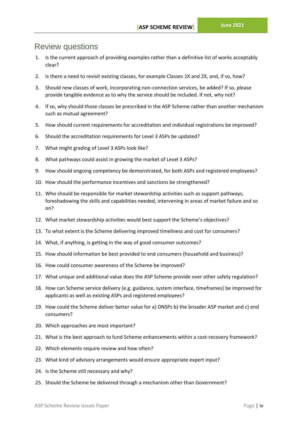## <span id="page-5-0"></span>Review questions

- 1. Is the current approach of providing examples rather than a definitive list of works acceptably clear?
- 2. Is there a need to revisit existing classes, for example Classes 1X and 2X, and, if so, how?
- 3. Should new classes of work, incorporating non-connection services, be added? If so, please provide tangible evidence as to why the service should be included. If not, why not?
- 4. If so, why should those classes be prescribed in the ASP Scheme rather than another mechanism such as mutual agreement?
- 5. How should current requirements for accreditation and individual registrations be improved?
- 6. Should the accreditation requirements for Level 3 ASPs be updated?
- 7. What might grading of Level 3 ASPs look like?
- 8. What pathways could assist in growing the market of Level 3 ASPs?
- 9. How should ongoing competency be demonstrated, for both ASPs and registered employees?
- 10. How should the performance incentives and sanctions be strengthened?
- 11. Who should be responsible for market stewardship activities such as support pathways, foreshadowing the skills and capabilities needed, intervening in areas of market failure and so on?
- 12. What market stewardship activities would best support the Scheme's objectives?
- 13. To what extent is the Scheme delivering improved timeliness and cost for consumers?
- 14. What, if anything, is getting in the way of good consumer outcomes?
- 15. How should information be best provided to end consumers (household and business)?
- 16. How could consumer awareness of the Scheme be improved?
- 17. What unique and additional value does the ASP Scheme provide over other safety regulation?
- 18. How can Scheme service delivery (e.g. guidance, system interface, timeframes) be improved for applicants as well as existing ASPs and registered employees?
- 19. How could the Scheme deliver better value for a) DNSPs b) the broader ASP market and c) end consumers?
- 20. Which approaches are most important?
- 21. What is the best approach to fund Scheme enhancements within a cost-recovery framework?
- 22. Which elements require review and how often?
- 23. What kind of advisory arrangements would ensure appropriate expert input?
- 24. Is the Scheme still necessary and why?
- 25. Should the Scheme be delivered through a mechanism other than Government?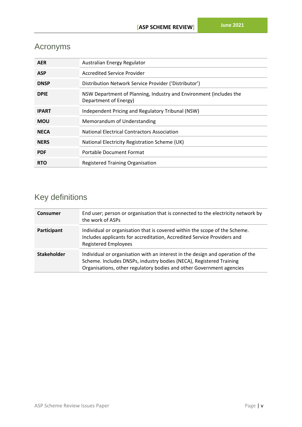# <span id="page-6-0"></span>Acronyms

| <b>AER</b>   | Australian Energy Regulator                                                                 |  |  |  |
|--------------|---------------------------------------------------------------------------------------------|--|--|--|
| <b>ASP</b>   | Accredited Service Provider                                                                 |  |  |  |
| <b>DNSP</b>  | Distribution Network Service Provider ('Distributor')                                       |  |  |  |
| <b>DPIE</b>  | NSW Department of Planning, Industry and Environment (includes the<br>Department of Energy) |  |  |  |
| <b>IPART</b> | Independent Pricing and Regulatory Tribunal (NSW)                                           |  |  |  |
| <b>MOU</b>   | Memorandum of Understanding                                                                 |  |  |  |
| <b>NECA</b>  | <b>National Electrical Contractors Association</b>                                          |  |  |  |
| <b>NERS</b>  | National Electricity Registration Scheme (UK)                                               |  |  |  |
| <b>PDF</b>   | <b>Portable Document Format</b>                                                             |  |  |  |
| <b>RTO</b>   | Registered Training Organisation                                                            |  |  |  |

# <span id="page-6-1"></span>Key definitions

| <b>Consumer</b>    | End user; person or organisation that is connected to the electricity network by<br>the work of ASPs                                                                                                                          |  |
|--------------------|-------------------------------------------------------------------------------------------------------------------------------------------------------------------------------------------------------------------------------|--|
| Participant        | Individual or organisation that is covered within the scope of the Scheme.<br>Includes applicants for accreditation, Accredited Service Providers and<br><b>Registered Employees</b>                                          |  |
| <b>Stakeholder</b> | Individual or organisation with an interest in the design and operation of the<br>Scheme. Includes DNSPs, industry bodies (NECA), Registered Training<br>Organisations, other regulatory bodies and other Government agencies |  |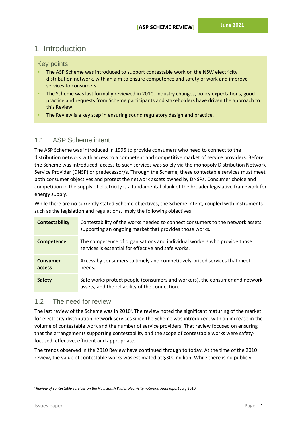# <span id="page-7-0"></span>1 Introduction

## <span id="page-7-1"></span>Key points

- **EXP** The ASP Scheme was introduced to support contestable work on the NSW electricity distribution network, with an aim to ensure competence and safety of work and improve services to consumers.
- **E** The Scheme was last formally reviewed in 2010. Industry changes, policy expectations, good practice and requests from Scheme participants and stakeholders have driven the approach to this Review.
- The Review is a key step in ensuring sound regulatory design and practice.

## <span id="page-7-2"></span>1.1 ASP Scheme intent

The ASP Scheme was introduced in 1995 to provide consumers who need to connect to the distribution network with access to a competent and competitive market of service providers. Before the Scheme was introduced, access to such services was solely via the monopoly Distribution Network Service Provider (DNSP) or predecessor/s. Through the Scheme, these contestable services must meet both consumer objectives and protect the network assets owned by DNSPs. Consumer choice and competition in the supply of electricity is a fundamental plank of the broader legislative framework for energy supply.

While there are no currently stated Scheme objectives, the Scheme intent, coupled with instruments such as the legislation and regulations, imply the following objectives:

| <b>Contestability</b>     | Contestability of the works needed to connect consumers to the network assets,<br>supporting an ongoing market that provides those works. |  |
|---------------------------|-------------------------------------------------------------------------------------------------------------------------------------------|--|
| Competence                | The competence of organisations and individual workers who provide those<br>services is essential for effective and safe works.           |  |
| <b>Consumer</b><br>access | Access by consumers to timely and competitively-priced services that meet<br>needs.                                                       |  |
| <b>Safety</b>             | Safe works protect people (consumers and workers), the consumer and network<br>assets, and the reliability of the connection.             |  |

## <span id="page-7-3"></span>1.2 The need for review

The last review of the Scheme was in 2010<sup>i</sup>. The review noted the significant maturing of the market for electricity distribution network services since the Scheme was introduced, with an increase in the volume of contestable work and the number of service providers. That review focused on ensuring that the arrangements supporting contestability and the scope of contestable works were safetyfocused, effective, efficient and appropriate.

The trends observed in the 2010 Review have continued through to today. At the time of the 2010 review, the value of contestable works was estimated at \$300 million. While there is no publicly

<sup>&</sup>lt;sup>i</sup> Review of contestable services on the New South Wales electricity network: Final report July 2010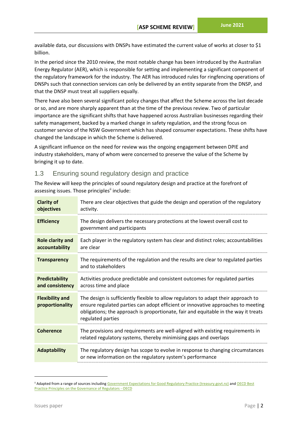available data, our discussions with DNSPs have estimated the current value of works at closer to \$1 billion.

In the period since the 2010 review, the most notable change has been introduced by the Australian Energy Regulator (AER), which is responsible for setting and implementing a significant component of the regulatory framework for the industry. The AER has introduced rules for ringfencing operations of DNSPs such that connection services can only be delivered by an entity separate from the DNSP, and that the DNSP must treat all suppliers equally.

There have also been several significant policy changes that affect the Scheme across the last decade or so, and are more sharply apparent than at the time of the previous review. Two of particular importance are the significant shifts that have happened across Australian businesses regarding their safety management, backed by a marked change in safety regulation, and the strong focus on customer service of the NSW Government which has shaped consumer expectations. These shifts have changed the landscape in which the Scheme is delivered.

A significant influence on the need for review was the ongoing engagement between DPIE and industry stakeholders, many of whom were concerned to preserve the value of the Scheme by bringing it up to date.

## <span id="page-8-0"></span>1.3 Ensuring sound regulatory design and practice

The Review will keep the principles of sound regulatory design and practice at the forefront of assessing issues. Those principles<sup>ii</sup> include:

| <b>Clarity of</b><br>objectives           | There are clear objectives that guide the design and operation of the regulatory<br>activity.                                                                                                                                                                                      |  |
|-------------------------------------------|------------------------------------------------------------------------------------------------------------------------------------------------------------------------------------------------------------------------------------------------------------------------------------|--|
| <b>Efficiency</b>                         | The design delivers the necessary protections at the lowest overall cost to<br>government and participants                                                                                                                                                                         |  |
| <b>Role clarity and</b><br>accountability | Each player in the regulatory system has clear and distinct roles; accountabilities<br>are clear                                                                                                                                                                                   |  |
| <b>Transparency</b>                       | The requirements of the regulation and the results are clear to regulated parties<br>and to stakeholders                                                                                                                                                                           |  |
| <b>Predictability</b><br>and consistency  | Activities produce predictable and consistent outcomes for regulated parties<br>across time and place                                                                                                                                                                              |  |
| <b>Flexibility and</b><br>proportionality | The design is sufficiently flexible to allow regulators to adapt their approach to<br>ensure regulated parties can adopt efficient or innovative approaches to meeting<br>obligations; the approach is proportionate, fair and equitable in the way it treats<br>regulated parties |  |
| <b>Coherence</b>                          | The provisions and requirements are well-aligned with existing requirements in<br>related regulatory systems, thereby minimising gaps and overlaps                                                                                                                                 |  |
| <b>Adaptability</b>                       | The regulatory design has scope to evolve in response to changing circumstances<br>or new information on the regulatory system's performance                                                                                                                                       |  |

<sup>&</sup>lt;sup>ii</sup> Adapted from a range of sources including [Government Expectations for Good Regulatory Practice \(treasury.govt.nz\)](https://www.treasury.govt.nz/sites/default/files/2015-09/good-reg-practice.pdf) and OECD Best [Practice Principles on the Governance of Regulators -](https://www.oecd.org/gov/regulatory-policy/governance-regulators.htm) OECD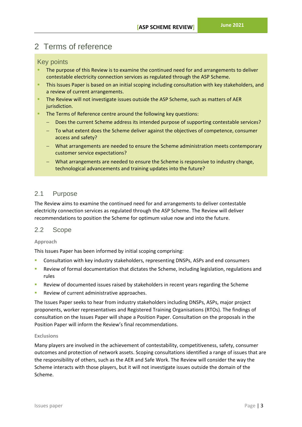# <span id="page-9-0"></span>2 Terms of reference

## <span id="page-9-1"></span>Key points

- The purpose of this Review is to examine the continued need for and arrangements to deliver contestable electricity connection services as regulated through the ASP Scheme.
- **EXTHIS ISSUES Paper is based on an initial scoping including consultation with key stakeholders, and** a review of current arrangements.
- **The Review will not investigate issues outside the ASP Scheme, such as matters of AER** jurisdiction.
- **EXECTE:** The Terms of Reference centre around the following key questions:
	- − Does the current Scheme address its intended purpose of supporting contestable services?
	- To what extent does the Scheme deliver against the objectives of competence, consumer access and safety?
	- − What arrangements are needed to ensure the Scheme administration meets contemporary customer service expectations?
	- − What arrangements are needed to ensure the Scheme is responsive to industry change, technological advancements and training updates into the future?

## <span id="page-9-2"></span>2.1 Purpose

The Review aims to examine the continued need for and arrangements to deliver contestable electricity connection services as regulated through the ASP Scheme. The Review will deliver recommendations to position the Scheme for optimum value now and into the future.

## <span id="page-9-3"></span>2.2 Scope

## **Approach**

This Issues Paper has been informed by initial scoping comprising:

- Consultation with key industry stakeholders, representing DNSPs, ASPs and end consumers
- Review of formal documentation that dictates the Scheme, including legislation, regulations and rules
- Review of documented issues raised by stakeholders in recent years regarding the Scheme
- Review of current administrative approaches.

The Issues Paper seeks to hear from industry stakeholders including DNSPs, ASPs, major project proponents, worker representatives and Registered Training Organisations (RTOs). The findings of consultation on the Issues Paper will shape a Position Paper. Consultation on the proposals in the Position Paper will inform the Review's final recommendations.

## **Exclusions**

Many players are involved in the achievement of contestability, competitiveness, safety, consumer outcomes and protection of network assets. Scoping consultations identified a range of issues that are the responsibility of others, such as the AER and Safe Work. The Review will consider the way the Scheme interacts with those players, but it will not investigate issues outside the domain of the Scheme.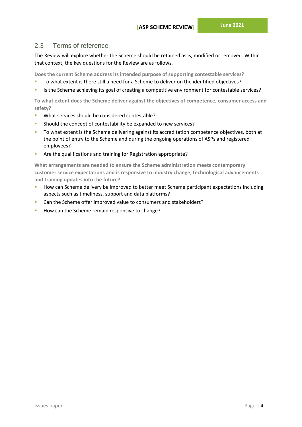## <span id="page-10-0"></span>2.3 Terms of reference

The Review will explore whether the Scheme should be retained as is, modified or removed. Within that context, the key questions for the Review are as follows.

**Does the current Scheme address its intended purpose of supporting contestable services?**

- To what extent is there still a need for a Scheme to deliver on the identified objectives?
- Is the Scheme achieving its goal of creating a competitive environment for contestable services?

**To what extent does the Scheme deliver against the objectives of competence, consumer access and safety?**

- What services should be considered contestable?
- Should the concept of contestability be expanded to new services?
- To what extent is the Scheme delivering against its accreditation competence objectives, both at the point of entry to the Scheme and during the ongoing operations of ASPs and registered employees?
- Are the qualifications and training for Registration appropriate?

**What arrangements are needed to ensure the Scheme administration meets contemporary customer service expectations and is responsive to industry change, technological advancements and training updates into the future?**

- How can Scheme delivery be improved to better meet Scheme participant expectations including aspects such as timeliness, support and data platforms?
- Can the Scheme offer improved value to consumers and stakeholders?
- How can the Scheme remain responsive to change?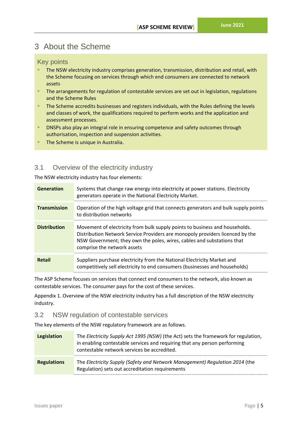# <span id="page-11-0"></span>3 About the Scheme

## <span id="page-11-1"></span>Key points

- The NSW electricity industry comprises generation, transmission, distribution and retail, with the Scheme focusing on services through which end consumers are connected to network assets
- **EXTED The arrangements for regulation of contestable services are set out in legislation, regulations** and the Scheme Rules
- **The Scheme accredits businesses and registers individuals, with the Rules defining the levels** and classes of work, the qualifications required to perform works and the application and assessment processes.
- **EXPOSED 2018 INSPS also play an integral role in ensuring competence and safety outcomes through** authorisation, inspection and suspension activities.
- **The Scheme is unique in Australia.**

## <span id="page-11-2"></span>3.1 Overview of the electricity industry

The NSW electricity industry has four elements:

| <b>Generation</b>   | Systems that change raw energy into electricity at power stations. Electricity<br>generators operate in the National Electricity Market.                                                                                                                              |  |
|---------------------|-----------------------------------------------------------------------------------------------------------------------------------------------------------------------------------------------------------------------------------------------------------------------|--|
| <b>Transmission</b> | Operation of the high voltage grid that connects generators and bulk supply points<br>to distribution networks                                                                                                                                                        |  |
| <b>Distribution</b> | Movement of electricity from bulk supply points to business and households.<br>Distribution Network Service Providers are monopoly providers licenced by the<br>NSW Government; they own the poles, wires, cables and substations that<br>comprise the network assets |  |
| Retail              | Suppliers purchase electricity from the National Electricity Market and<br>competitively sell electricity to end consumers (businesses and households)                                                                                                                |  |

The ASP Scheme focuses on services that connect end consumers to the network, also known as contestable services. The consumer pays for the cost of these services.

Appendix [1. Overview of the NSW electricity industry](#page-31-0) has a full description of the NSW electricity industry.

## <span id="page-11-3"></span>3.2 NSW regulation of contestable services

The key elements of the NSW regulatory framework are as follows.

| Legislation        | The Electricity Supply Act 1995 (NSW) (the Act) sets the framework for regulation,<br>in enabling contestable services and requiring that any person performing<br>contestable network services be accredited. |
|--------------------|----------------------------------------------------------------------------------------------------------------------------------------------------------------------------------------------------------------|
| <b>Regulations</b> | The Electricity Supply (Safety and Network Management) Regulation 2014 (the<br>Regulation) sets out accreditation requirements                                                                                 |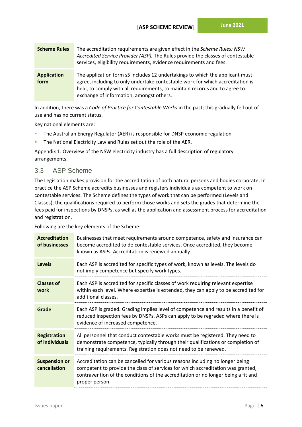| <b>Scheme Rules</b>        | The accreditation requirements are given effect in the Scheme Rules: NSW<br>Accredited Service Provider (ASP). The Rules provide the classes of contestable<br>services, eligibility requirements, evidence requirements and fees.                                                       |
|----------------------------|------------------------------------------------------------------------------------------------------------------------------------------------------------------------------------------------------------------------------------------------------------------------------------------|
| <b>Application</b><br>form | The application form s5 includes 12 undertakings to which the applicant must<br>agree, including to only undertake contestable work for which accreditation is<br>held, to comply with all requirements, to maintain records and to agree to<br>exchange of information, amongst others. |

In addition, there was a *Code of Practice for Contestable Works* in the past; this gradually fell out of use and has no current status.

Key national elements are:

- The Australian Energy Regulator (AER) is responsible for DNSP economic regulation
- The National Electricity Law and Rules set out the role of the AER.

Appendix [1. Overview of the NSW electricity industry](#page-31-0) has a full description of regulatory arrangements.

## <span id="page-12-0"></span>3.3 ASP Scheme

The Legislation makes provision for the accreditation of both natural persons and bodies corporate. In practice the ASP Scheme accredits businesses and registers individuals as competent to work on contestable services. The Scheme defines the types of work that can be performed (Levels and Classes), the qualifications required to perform those works and sets the grades that determine the fees paid for inspections by DNSPs, as well as the application and assessment process for accreditation and registration.

Following are the key elements of the Scheme:

| <b>Accreditation</b><br>of businesses                                                                                                       | Businesses that meet requirements around competence, safety and insurance can<br>become accredited to do contestable services. Once accredited, they become<br>known as ASPs. Accreditation is renewed annually.                                                       |
|---------------------------------------------------------------------------------------------------------------------------------------------|------------------------------------------------------------------------------------------------------------------------------------------------------------------------------------------------------------------------------------------------------------------------|
| Each ASP is accredited for specific types of work, known as levels. The levels do<br>Levels<br>not imply competence but specify work types. |                                                                                                                                                                                                                                                                        |
| <b>Classes of</b><br>work                                                                                                                   | Each ASP is accredited for specific classes of work requiring relevant expertise<br>within each level. Where expertise is extended, they can apply to be accredited for<br>additional classes.                                                                         |
| Grade                                                                                                                                       | Each ASP is graded. Grading implies level of competence and results in a benefit of<br>reduced inspection fees by DNSPs. ASPs can apply to be regraded where there is<br>evidence of increased competence.                                                             |
| <b>Registration</b><br>of individuals                                                                                                       | All personnel that conduct contestable works must be registered. They need to<br>demonstrate competence, typically through their qualifications or completion of<br>training requirements. Registration does not need to be renewed.                                   |
| <b>Suspension or</b><br>cancellation                                                                                                        | Accreditation can be cancelled for various reasons including no longer being<br>competent to provide the class of services for which accreditation was granted,<br>contravention of the conditions of the accreditation or no longer being a fit and<br>proper person. |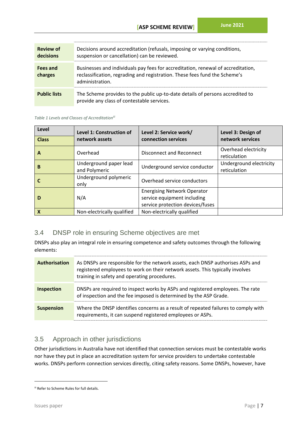| <b>Review of</b><br>decisions | Decisions around accreditation (refusals, imposing or varying conditions,<br>suspension or cancellation) can be reviewed.                                                         |
|-------------------------------|-----------------------------------------------------------------------------------------------------------------------------------------------------------------------------------|
| Fees and<br>charges           | Businesses and individuals pay fees for accreditation, renewal of accreditation,<br>reclassification, regrading and registration. These fees fund the Scheme's<br>administration. |
| <b>Public lists</b>           | The Scheme provides to the public up-to-date details of persons accredited to<br>provide any class of contestable services.                                                       |

<span id="page-13-2"></span>*Table 1 Levels and Classes of Accreditationiii*

| Level<br><b>Class</b>     | <b>Level 1: Construction of</b><br>network assets | Level 2: Service work/<br>connection services                                                         | Level 3: Design of<br>network services  |
|---------------------------|---------------------------------------------------|-------------------------------------------------------------------------------------------------------|-----------------------------------------|
|                           |                                                   |                                                                                                       |                                         |
| A                         | Overhead                                          | Disconnect and Reconnect                                                                              | Overhead electricity<br>reticulation    |
| B                         | Underground paper lead<br>and Polymeric           | Underground service conductor                                                                         | Underground electricity<br>reticulation |
|                           | Underground polymeric<br>only                     | Overhead service conductors                                                                           |                                         |
| D                         | N/A                                               | <b>Energising Network Operator</b><br>service equipment including<br>service protection devices/fuses |                                         |
| $\boldsymbol{\mathsf{X}}$ | Non-electrically qualified                        | Non-electrically qualified                                                                            |                                         |

## <span id="page-13-0"></span>3.4 DNSP role in ensuring Scheme objectives are met

DNSPs also play an integral role in ensuring competence and safety outcomes through the following elements:

| <b>Authorisation</b> | As DNSPs are responsible for the network assets, each DNSP authorises ASPs and<br>registered employees to work on their network assets. This typically involves<br>training in safety and operating procedures. |
|----------------------|-----------------------------------------------------------------------------------------------------------------------------------------------------------------------------------------------------------------|
| <b>Inspection</b>    | DNSPs are required to inspect works by ASPs and registered employees. The rate<br>of inspection and the fee imposed is determined by the ASP Grade.                                                             |
| <b>Suspension</b>    | Where the DNSP identifies concerns as a result of repeated failures to comply with<br>requirements, it can suspend registered employees or ASPs.                                                                |

## <span id="page-13-1"></span>3.5 Approach in other jurisdictions

Other jurisdictions in Australia have not identified that connection services must be contestable works nor have they put in place an accreditation system for service providers to undertake contestable works. DNSPs perform connection services directly, citing safety reasons. Some DNSPs, however, have

iii Refer to Scheme Rules for full details.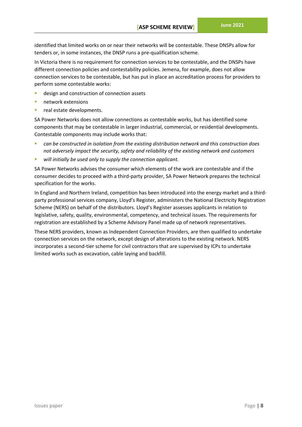identified that limited works on or near their networks will be contestable. These DNSPs allow for tenders or, in some instances, the DNSP runs a pre-qualification scheme.

In Victoria there is no requirement for connection services to be contestable, and the DNSPs have different connection policies and contestability policies. Jemena, for example, does not allow connection services to be contestable, but has put in place an accreditation process for providers to perform some contestable works:

- design and construction of connection assets
- network extensions
- real estate developments.

SA Power Networks does not allow connections as contestable works, but has identified some components that may be contestable in larger industrial, commercial, or residential developments. Contestable components may include works that:

- *can be constructed in isolation from the existing distribution network and this construction does not adversely impact the security, safety and reliability of the existing network and customers*
- will initially be used only to supply the connection applicant.

SA Power Networks advises the consumer which elements of the work are contestable and if the consumer decides to proceed with a third-party provider, SA Power Network prepares the technical specification for the works.

In England and Northern Ireland, competition has been introduced into the energy market and a thirdparty professional services company, Lloyd's Register, administers the National Electricity Registration Scheme (NERS) on behalf of the distributors. Lloyd's Register assesses applicants in relation to legislative, safety, quality, environmental, competency, and technical issues. The requirements for registration are established by a Scheme Advisory Panel made up of network representatives.

These NERS providers, known as Independent Connection Providers, are then qualified to undertake connection services on the network, except design of alterations to the existing network. NERS incorporates a second-tier scheme for civil contractors that are supervised by ICPs to undertake limited works such as excavation, cable laying and backfill.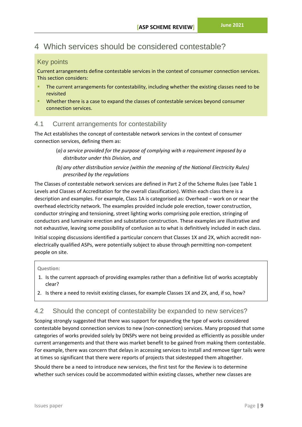# <span id="page-15-0"></span>4 Which services should be considered contestable?

## <span id="page-15-1"></span>Key points

Current arrangements define contestable services in the context of consumer connection services. This section considers:

- The current arrangements for contestability, including whether the existing classes need to be revisited
- Whether there is a case to expand the classes of contestable services beyond consumer connection services.

## <span id="page-15-2"></span>4.1 Current arrangements for contestability

The Act establishes the concept of contestable network services in the context of consumer connection services, defining them as:

- (*a) a service provided for the purpose of complying with a requirement imposed by a distributor under this Division, and*
- *(b) any other distribution service (within the meaning of the National Electricity Rules) prescribed by the regulations*

The Classes of contestable network services are defined in Part 2 of the Scheme Rules (see [Table 1](#page-13-2) [Levels and Classes of Accreditation](#page-13-2) for the overall classification). Within each class there is a description and examples. For example, Class 1A is categorised as: Overhead – work on or near the overhead electricity network. The examples provided include pole erection, tower construction, conductor stringing and tensioning, street lighting works comprising pole erection, stringing of conductors and luminaire erection and substation construction. These examples are illustrative and not exhaustive, leaving some possibility of confusion as to what is definitively included in each class. Initial scoping discussions identified a particular concern that Classes 1X and 2X, which accredit nonelectrically qualified ASPs, were potentially subject to abuse through permitting non-competent people on site.

## **Question:**

- 1. Is the current approach of providing examples rather than a definitive list of works acceptably clear?
- 2. Is there a need to revisit existing classes, for example Classes 1X and 2X, and, if so, how?

## <span id="page-15-3"></span>4.2 Should the concept of contestability be expanded to new services?

Scoping strongly suggested that there was support for expanding the type of works considered contestable beyond connection services to new (non-connection) services. Many proposed that some categories of works provided solely by DNSPs were not being provided as efficiently as possible under current arrangements and that there was market benefit to be gained from making them contestable. For example, there was concern that delays in accessing services to install and remove tiger tails were at times so significant that there were reports of projects that sidestepped them altogether.

Should there be a need to introduce new services, the first test for the Review is to determine whether such services could be accommodated within existing classes, whether new classes are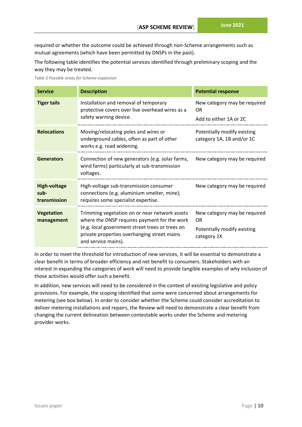required or whether the outcome could be achieved through non-Scheme arrangements such as mutual agreements (which have been permitted by DNSPs in the past).

The following table identifies the potential services identified through preliminary scoping and the way they may be treated.

|  |  |  |  |  | Table 2 Possible areas for Scheme expansion |
|--|--|--|--|--|---------------------------------------------|
|--|--|--|--|--|---------------------------------------------|

| <b>Service</b>                              | <b>Description</b>                                                                                                                                                                                                     | <b>Potential response</b>                                                               |
|---------------------------------------------|------------------------------------------------------------------------------------------------------------------------------------------------------------------------------------------------------------------------|-----------------------------------------------------------------------------------------|
| <b>Tiger tails</b>                          | Installation and removal of temporary<br>protective covers over live overhead wires as a<br>safety warning device.                                                                                                     | New category may be required<br>0R<br>Add to either 1A or 2C                            |
| <b>Relocations</b>                          | Moving/relocating poles and wires or<br>underground cables, often as part of other<br>works e.g. road widening.                                                                                                        | Potentially modify existing<br>category 1A, 1B and/or 1C                                |
| <b>Generators</b>                           | Connection of new generators (e.g. solar farms, New category may be required<br>wind farms) particularly at sub-transmission<br>voltages.                                                                              |                                                                                         |
| <b>High-voltage</b><br>sub-<br>transmission | High-voltage sub-transmission consumer<br>connections (e.g. aluminium smelter, mine);<br>requires some specialist expertise.                                                                                           | New category may be required                                                            |
| <b>Vegetation</b><br>management             | Trimming vegetation on or near network assets<br>where the DNSP requires payment for the work<br>(e.g. local government street trees or trees on<br>private properties overhanging street mains<br>and service mains). | New category may be required<br><b>OR</b><br>Potentially modify existing<br>category 1X |

In order to meet the threshold for introduction of new services, it will be essential to demonstrate a clear benefit in terms of broader efficiency and net benefit to consumers. Stakeholders with an interest in expanding the categories of work will need to provide tangible examples of why inclusion of those activities would offer such a benefit.

In addition, new services will need to be considered in the context of existing legislative and policy provisions. For example, the scoping identified that some were concerned about arrangements for metering (see box below). In order to consider whether the Scheme could consider accreditation to deliver metering installations and repairs, the Review will need to demonstrate a clear benefit from changing the current delineation between contestable works under the Scheme and metering provider works.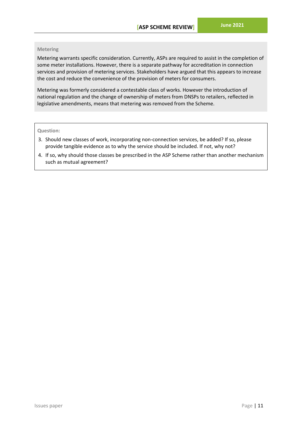#### **Metering**

Metering warrants specific consideration. Currently, ASPs are required to assist in the completion of some meter installations. However, there is a separate pathway for accreditation in connection services and provision of metering services. Stakeholders have argued that this appears to increase the cost and reduce the convenience of the provision of meters for consumers.

Metering was formerly considered a contestable class of works. However the introduction of national regulation and the change of ownership of meters from DNSPs to retailers, reflected in legislative amendments, means that metering was removed from the Scheme.

#### **Question:**

- 3. Should new classes of work, incorporating non-connection services, be added? If so, please provide tangible evidence as to why the service should be included. If not, why not?
- 4. If so, why should those classes be prescribed in the ASP Scheme rather than another mechanism such as mutual agreement?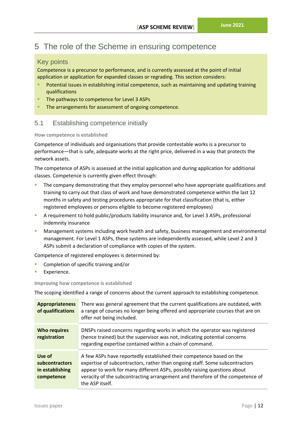# <span id="page-18-0"></span>5 The role of the Scheme in ensuring competence

## <span id="page-18-1"></span>Key points

Competence is a precursor to performance, and is currently assessed at the point of initial application or application for expanded classes or regrading. This section considers:

- Potential issues in establishing initial competence, such as maintaining and updating training qualifications
- **The pathways to competence for Level 3 ASPs**
- The arrangements for assessment of ongoing competence.

## <span id="page-18-2"></span>5.1 Establishing competence initially

#### **How competence is established**

Competence of individuals and organisations that provide contestable works is a precursor to performance—that is safe, adequate works at the right price, delivered in a way that protects the network assets.

The competence of ASPs is assessed at the initial application and during application for additional classes. Competence is currently given effect through:

- The company demonstrating that they employ personnel who have appropriate qualifications and training to carry out that class of work and have demonstrated competence within the last 12 months in safety and testing procedures appropriate for that classification (that is, either registered employees or persons eligible to become registered employees)
- A requirement to hold public/products liability insurance and, for Level 3 ASPs, professional indemnity insurance
- **■** Management systems including work health and safety, business management and environmental management. For Level 1 ASPs, these systems are independently assessed, while Level 2 and 3 ASPs submit a declaration of compliance with copies of the system.

Competence of registered employees is determined by:

- Completion of specific training and/or
- Experience.

**Improving how competence is established**

The scoping identified a range of concerns about the current approach to establishing competence.

| <b>Appropriateness</b><br>of qualifications               | There was general agreement that the current qualifications are outdated, with<br>a range of courses no longer being offered and appropriate courses that are on<br>offer not being included.                                                                                                                                       |
|-----------------------------------------------------------|-------------------------------------------------------------------------------------------------------------------------------------------------------------------------------------------------------------------------------------------------------------------------------------------------------------------------------------|
| <b>Who requires</b><br>registration                       | DNSPs raised concerns regarding works in which the operator was registered<br>(hence trained) but the supervisor was not, indicating potential concerns<br>regarding expertise contained within a chain of command.                                                                                                                 |
| Use of<br>subcontractors<br>in establishing<br>competence | A few ASPs have reportedly established their competence based on the<br>expertise of subcontractors, rather than ongoing staff. Some subcontractors<br>appear to work for many different ASPs, possibly raising questions about<br>veracity of the subcontracting arrangement and therefore of the competence of<br>the ASP itself. |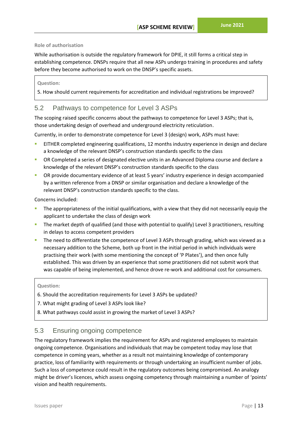## **Role of authorisation**

While authorisation is outside the regulatory framework for DPIE, it still forms a critical step in establishing competence. DNSPs require that all new ASPs undergo training in procedures and safety before they become authorised to work on the DNSP's specific assets.

## **Question:**

5. How should current requirements for accreditation and individual registrations be improved?

## <span id="page-19-0"></span>5.2 Pathways to competence for Level 3 ASPs

The scoping raised specific concerns about the pathways to competence for Level 3 ASPs; that is, those undertaking design of overhead and underground electricity reticulation.

Currently, in order to demonstrate competence for Level 3 (design) work, ASPs must have:

- EITHER completed engineering qualifications, 12 months industry experience in design and declare a knowledge of the relevant DNSP's construction standards specific to the class
- OR Completed a series of designated elective units in an Advanced Diploma course and declare a knowledge of the relevant DNSP's construction standards specific to the class
- **OR provide documentary evidence of at least 5 years' industry experience in design accompanied** by a written reference from a DNSP or similar organisation and declare a knowledge of the relevant DNSP's construction standards specific to the class.

Concerns included:

- The appropriateness of the initial qualifications, with a view that they did not necessarily equip the applicant to undertake the class of design work
- **·** The market depth of qualified (and those with potential to qualify) Level 3 practitioners, resulting in delays to access competent providers
- **•** The need to differentiate the competence of Level 3 ASPs through grading, which was viewed as a necessary addition to the Scheme, both up front in the initial period in which individuals were practising their work (with some mentioning the concept of 'P Plates'), and then once fully established. This was driven by an experience that some practitioners did not submit work that was capable of being implemented, and hence drove re-work and additional cost for consumers.

## **Question:**

- 6. Should the accreditation requirements for Level 3 ASPs be updated?
- 7. What might grading of Level 3 ASPs look like?
- 8. What pathways could assist in growing the market of Level 3 ASPs?

## <span id="page-19-1"></span>5.3 Ensuring ongoing competence

The regulatory framework implies the requirement for ASPs and registered employees to maintain ongoing competence. Organisations and individuals that may be competent today may lose that competence in coming years, whether as a result not maintaining knowledge of contemporary practice, loss of familiarity with requirements or through undertaking an insufficient number of jobs. Such a loss of competence could result in the regulatory outcomes being compromised. An analogy might be driver's licences, which assess ongoing competency through maintaining a number of 'points' vision and health requirements.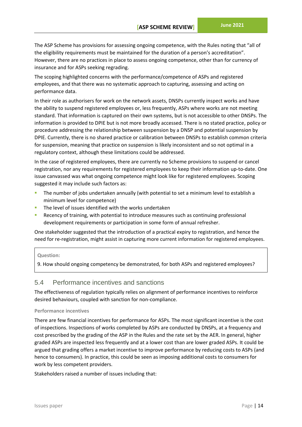The ASP Scheme has provisions for assessing ongoing competence, with the Rules noting that "all of the eligibility requirements must be maintained for the duration of a person's accreditation". However, there are no practices in place to assess ongoing competence, other than for currency of insurance and for ASPs seeking regrading.

The scoping highlighted concerns with the performance/competence of ASPs and registered employees, and that there was no systematic approach to capturing, assessing and acting on performance data.

In their role as authorisers for work on the network assets, DNSPs currently inspect works and have the ability to suspend registered employees or, less frequently, ASPs where works are not meeting standard. That information is captured on their own systems, but is not accessible to other DNSPs. The information is provided to DPIE but is not more broadly accessed. There is no stated practice, policy or procedure addressing the relationship between suspension by a DNSP and potential suspension by DPIE. Currently, there is no shared practice or calibration between DNSPs to establish common criteria for suspension, meaning that practice on suspension is likely inconsistent and so not optimal in a regulatory context, although these limitations could be addressed.

In the case of registered employees, there are currently no Scheme provisions to suspend or cancel registration, nor any requirements for registered employees to keep their information up-to-date. One issue canvassed was what ongoing competence might look like for registered employees. Scoping suggested it may include such factors as:

- The number of jobs undertaken annually (with potential to set a minimum level to establish a minimum level for competence)
- The level of issues identified with the works undertaken
- Recency of training, with potential to introduce measures such as continuing professional development requirements or participation in some form of annual refresher.

One stakeholder suggested that the introduction of a practical expiry to registration, and hence the need for re-registration, might assist in capturing more current information for registered employees.

#### **Question:**

9. How should ongoing competency be demonstrated, for both ASPs and registered employees?

## <span id="page-20-0"></span>5.4 Performance incentives and sanctions

The effectiveness of regulation typically relies on alignment of performance incentives to reinforce desired behaviours, coupled with sanction for non-compliance.

#### **Performance incentives**

There are few financial incentives for performance for ASPs. The most significant incentive is the cost of inspections. Inspections of works completed by ASPs are conducted by DNSPs, at a frequency and cost prescribed by the grading of the ASP in the Rules and the rate set by the AER. In general, higher graded ASPs are inspected less frequently and at a lower cost than are lower graded ASPs. It could be argued that grading offers a market incentive to improve performance by reducing costs to ASPs (and hence to consumers). In practice, this could be seen as imposing additional costs to consumers for work by less competent providers.

Stakeholders raised a number of issues including that: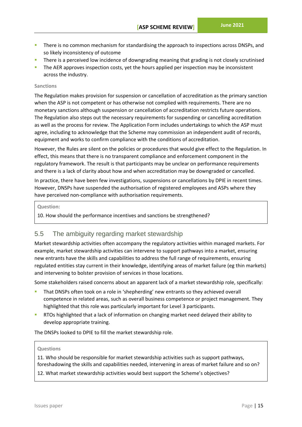- There is no common mechanism for standardising the approach to inspections across DNSPs, and so likely inconsistency of outcome
- There is a perceived low incidence of downgrading meaning that grading is not closely scrutinised
- The AER approves inspection costs, yet the hours applied per inspection may be inconsistent across the industry.

#### **Sanctions**

The Regulation makes provision for suspension or cancellation of accreditation as the primary sanction when the ASP is not competent or has otherwise not complied with requirements. There are no monetary sanctions although suspension or cancellation of accreditation restricts future operations. The Regulation also steps out the necessary requirements for suspending or cancelling accreditation as well as the process for review. The Application Form includes undertakings to which the ASP must agree, including to acknowledge that the Scheme may commission an independent audit of records, equipment and works to confirm compliance with the conditions of accreditation.

However, the Rules are silent on the policies or procedures that would give effect to the Regulation. In effect, this means that there is no transparent compliance and enforcement component in the regulatory framework. The result is that participants may be unclear on performance requirements and there is a lack of clarity about how and when accreditation may be downgraded or cancelled.

In practice, there have been few investigations, suspensions or cancellations by DPIE in recent times. However, DNSPs have suspended the authorisation of registered employees and ASPs where they have perceived non-compliance with authorisation requirements.

#### **Question:**

10. How should the performance incentives and sanctions be strengthened?

## <span id="page-21-0"></span>5.5 The ambiguity regarding market stewardship

Market stewardship activities often accompany the regulatory activities within managed markets. For example, market stewardship activities can intervene to support pathways into a market, ensuring new entrants have the skills and capabilities to address the full range of requirements, ensuring regulated entities stay current in their knowledge, identifying areas of market failure (eg thin markets) and intervening to bolster provision of services in those locations.

Some stakeholders raised concerns about an apparent lack of a market stewardship role, specifically:

- That DNSPs often took on a role in 'shepherding' new entrants so they achieved overall competence in related areas, such as overall business competence or project management. They highlighted that this role was particularly important for Level 3 participants.
- RTOs highlighted that a lack of information on changing market need delayed their ability to develop appropriate training.

The DNSPs looked to DPIE to fill the market stewardship role.

#### **Questions**

11. Who should be responsible for market stewardship activities such as support pathways, foreshadowing the skills and capabilities needed, intervening in areas of market failure and so on?

12. What market stewardship activities would best support the Scheme's objectives?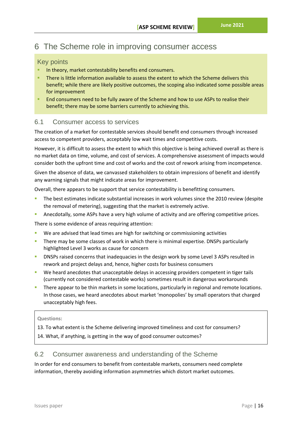# <span id="page-22-0"></span>6 The Scheme role in improving consumer access

## <span id="page-22-1"></span>Key points

- In theory, market contestability benefits end consumers.
- There is little information available to assess the extent to which the Scheme delivers this benefit; while there are likely positive outcomes, the scoping also indicated some possible areas for improvement
- **EXECT ASSESS** THE SCHEME FOR CONSERVATION FOR SCHEME FOR SCHEME FOR SCHEME THEIR FOR SCHEME FOR SCHEME FOR SCHEME THEIR SCHEME FOR SCHEME THEIR SCHEME FOR SCHEME THEIR SCHEME FOR SCHEME THEIR SCHEME THEIR SCHEME THEIR SCH benefit; there may be some barriers currently to achieving this.

## <span id="page-22-2"></span>6.1 Consumer access to services

The creation of a market for contestable services should benefit end consumers through increased access to competent providers, acceptably low wait times and competitive costs.

However, it is difficult to assess the extent to which this objective is being achieved overall as there is no market data on time, volume, and cost of services. A comprehensive assessment of impacts would consider both the upfront time and cost of works and the cost of rework arising from incompetence.

Given the absence of data, we canvassed stakeholders to obtain impressions of benefit and identify any warning signals that might indicate areas for improvement.

Overall, there appears to be support that service contestability is benefitting consumers.

- The best estimates indicate substantial increases in work volumes since the 2010 review (despite the removal of metering), suggesting that the market is extremely active.
- **E** Anecdotally, some ASPs have a very high volume of activity and are offering competitive prices.

There is some evidence of areas requiring attention:

- We are advised that lead times are high for switching or commissioning activities
- There may be some classes of work in which there is minimal expertise. DNSPs particularly highlighted Level 3 works as cause for concern
- DNSPs raised concerns that inadequacies in the design work by some Level 3 ASPs resulted in rework and project delays and, hence, higher costs for business consumers
- We heard anecdotes that unacceptable delays in accessing providers competent in tiger tails (currently not considered contestable works) sometimes result in dangerous workarounds
- There appear to be thin markets in some locations, particularly in regional and remote locations. In those cases, we heard anecdotes about market 'monopolies' by small operators that charged unacceptably high fees.

## **Questions:**

13. To what extent is the Scheme delivering improved timeliness and cost for consumers?

14. What, if anything, is getting in the way of good consumer outcomes?

## <span id="page-22-3"></span>6.2 Consumer awareness and understanding of the Scheme

In order for end consumers to benefit from contestable markets, consumers need complete information, thereby avoiding information asymmetries which distort market outcomes.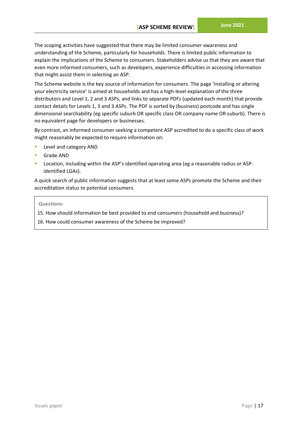The scoping activities have suggested that there may be limited consumer awareness and understanding of the Scheme, particularly for households. There is limited public information to explain the implications of the Scheme to consumers. Stakeholders advise us that they are aware that even more informed consumers, such as developers, experience difficulties in accessing information that might assist them in selecting an ASP.

The Scheme website is the key source of information for consumers. The page 'Installing or altering your electricity service' is aimed at households and has a high-level explanation of the three distributors and Level 1, 2 and 3 ASPs, and links to separate PDFs (updated each month) that provide contact details for Levels 1, 3 and 3 ASPs. The PDF is sorted by (business) postcode and has single dimensional searchability (eg specific suburb OR specific class OR company name OR suburb). There is no equivalent page for developers or businesses.

By contrast, an informed consumer seeking a competent ASP accredited to do a specific class of work might reasonably be expected to require information on:

- Level and category AND
- **Grade AND**
- Location, including within the ASP's identified operating area (eg a reasonable radius or ASPidentified LGAs).

A quick search of public information suggests that at least some ASPs promote the Scheme and their accreditation status to potential consumers.

#### **Questions:**

15. How should information be best provided to end consumers (household and business)?

16. How could consumer awareness of the Scheme be improved?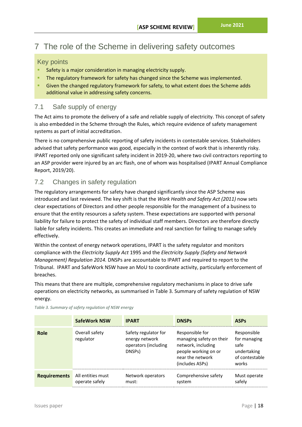# <span id="page-24-0"></span>7 The role of the Scheme in delivering safety outcomes

## <span id="page-24-1"></span>Key points

- Safety is a major consideration in managing electricity supply.
- The regulatory framework for safety has changed since the Scheme was implemented.
- Given the changed regulatory framework for safety, to what extent does the Scheme adds additional value in addressing safety concerns.

## <span id="page-24-2"></span>7.1 Safe supply of energy

The Act aims to promote the delivery of a safe and reliable supply of electricity. This concept of safety is also embedded in the Scheme through the Rules, which require evidence of safety management systems as part of initial accreditation.

There is no comprehensive public reporting of safety incidents in contestable services. Stakeholders advised that safety performance was good, especially in the context of work that is inherently risky. IPART reported only one significant safety incident in 2019-20, where two civil contractors reporting to an ASP provider were injured by an arc flash, one of whom was hospitalised (IPART Annual Compliance Report, 2019/20).

## <span id="page-24-3"></span>7.2 Changes in safety regulation

The regulatory arrangements for safety have changed significantly since the ASP Scheme was introduced and last reviewed. The key shift is that the *Work Health and Safety Act (2011)* now sets clear expectations of Directors and other people responsible for the management of a business to ensure that the entity resources a safety system. These expectations are supported with personal liability for failure to protect the safety of individual staff members. Directors are therefore directly liable for safety incidents. This creates an immediate and real sanction for failing to manage safely effectively.

Within the context of energy network operations, IPART is the safety regulator and monitors compliance with the *Electricity Supply Act* 1995 and the *Electricity Supply (Safety and Network Management) Regulation 2014.* DNSPs are accountable to IPART and required to report to the Tribunal. IPART and SafeWork NSW have an MoU to coordinate activity, particularly enforcement of breaches.

This means that there are multiple, comprehensive regulatory mechanisms in place to drive safe operations on electricity networks, as summarised in [Table 3. Summary of safety regulation of NSW](#page-24-4)  [energy.](#page-24-4)

|                     | <b>SafeWork NSW</b>                 | <b>IPART</b>                                                                          | <b>DNSPs</b>                                                                                                                     | <b>ASPs</b>                                                                   |
|---------------------|-------------------------------------|---------------------------------------------------------------------------------------|----------------------------------------------------------------------------------------------------------------------------------|-------------------------------------------------------------------------------|
| Role                | Overall safety<br>regulator         | Safety regulator for<br>energy network<br>operators (including<br>DNSP <sub>s</sub> ) | Responsible for<br>managing safety on their<br>network, including<br>people working on or<br>near the network<br>(includes ASPs) | Responsible<br>for managing<br>safe<br>undertaking<br>of contestable<br>works |
| <b>Requirements</b> | All entities must<br>operate safely | Network operators<br>must:                                                            | Comprehensive safety<br>system                                                                                                   | Must operate<br>safely                                                        |

<span id="page-24-4"></span>*Table 3. Summary of safety regulation of NSW energy*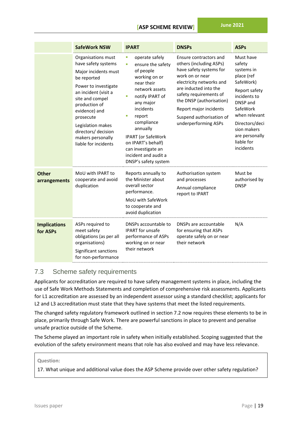## **[ASP SCHEME REVIEW]**

**June 2021**

|                                 | <b>SafeWork NSW</b>                                                                                                                                                                                                                                                                         | <b>IPART</b>                                                                                                                                                                                                                                                                                                             | <b>DNSPs</b>                                                                                                                                                                                                                                                                             | <b>ASPs</b>                                                                                                                                                                                                          |
|---------------------------------|---------------------------------------------------------------------------------------------------------------------------------------------------------------------------------------------------------------------------------------------------------------------------------------------|--------------------------------------------------------------------------------------------------------------------------------------------------------------------------------------------------------------------------------------------------------------------------------------------------------------------------|------------------------------------------------------------------------------------------------------------------------------------------------------------------------------------------------------------------------------------------------------------------------------------------|----------------------------------------------------------------------------------------------------------------------------------------------------------------------------------------------------------------------|
|                                 | Organisations must<br>have safety systems<br>Major incidents must<br>be reported<br>Power to investigate<br>an incident (visit a<br>site and compel<br>production of<br>evidence) and<br>prosecute<br>Legislation makes<br>directors/ decision<br>makers personally<br>liable for incidents | operate safely<br>ш<br>ensure the safety<br>ш<br>of people<br>working on or<br>near their<br>network assets<br>notify IPART of<br>ш<br>any major<br>incidents<br>report<br>ш<br>compliance<br>annually<br>IPART (or SafeWork<br>on IPART's behalf)<br>can investigate an<br>incident and audit a<br>DNSP's safety system | Ensure contractors and<br>others (including ASPs)<br>have safety systems for<br>work on or near<br>electricity networks and<br>are inducted into the<br>safety requirements of<br>the DNSP (authorisation)<br>Report major incidents<br>Suspend authorisation of<br>underperforming ASPs | Must have<br>safety<br>systems in<br>place (ref<br>SafeWork)<br>Report safety<br>incidents to<br>DNSP and<br>SafeWork<br>when relevant<br>Directors/deci<br>sion makers<br>are personally<br>liable for<br>incidents |
| <b>Other</b><br>arrangements    | MoU with IPART to<br>cooperate and avoid<br>duplication                                                                                                                                                                                                                                     | Reports annually to<br>the Minister about<br>overall sector<br>performance.<br>MoU with SafeWork<br>to cooperate and<br>avoid duplication                                                                                                                                                                                | Authorisation system<br>and processes<br>Annual compliance<br>report to IPART                                                                                                                                                                                                            | Must be<br>authorised by<br><b>DNSP</b>                                                                                                                                                                              |
| <b>Implications</b><br>for ASPs | ASPs required to<br>meet safety<br>obligations (as per all<br>organisations)<br>Significant sanctions<br>for non-performance                                                                                                                                                                | DNSPs accountable to<br><b>IPART</b> for unsafe<br>performance of ASPs<br>working on or near<br>their network                                                                                                                                                                                                            | DNSPs are accountable<br>for ensuring that ASPs<br>operate safely on or near<br>their network                                                                                                                                                                                            | N/A                                                                                                                                                                                                                  |

## <span id="page-25-0"></span>7.3 Scheme safety requirements

Applicants for accreditation are required to have safety management systems in place, including the use of Safe Work Methods Statements and completion of comprehensive risk assessments. Applicants for L1 accreditation are assessed by an independent assessor using a standard checklist; applicants for L2 and L3 accreditation must state that they have systems that meet the listed requirements.

The changed safety regulatory framework outlined in section [7.2](#page-24-3) now requires these elements to be in place, primarily through Safe Work. There are powerful sanctions in place to prevent and penalise unsafe practice outside of the Scheme.

The Scheme played an important role in safety when initially established. Scoping suggested that the evolution of the safety environment means that role has also evolved and may have less relevance.

#### **Question:**

17. What unique and additional value does the ASP Scheme provide over other safety regulation?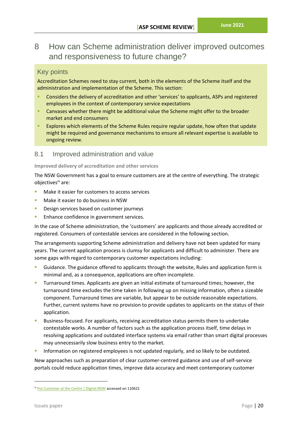# <span id="page-26-0"></span>8 How can Scheme administration deliver improved outcomes and responsiveness to future change?

## <span id="page-26-1"></span>Key points

Accreditation Schemes need to stay current, both in the elements of the Scheme itself and the administration and implementation of the Scheme. This section:

- Considers the delivery of accreditation and other 'services' to applicants, ASPs and registered employees in the context of contemporary service expectations
- **E** Canvases whether there might be additional value the Scheme might offer to the broader market and end consumers
- **EXPLORE 2** Explores which elements of the Scheme Rules require regular update, how often that update might be required and governance mechanisms to ensure all relevant expertise is available to ongoing review.

## <span id="page-26-2"></span>8.1 Improved administration and value

#### **Improved delivery of accreditation and other services**

The NSW Government has a goal to ensure customers are at the centre of everything. The strategic objectivesiv are:

- Make it easier for customers to access services
- Make it easier to do business in NSW
- Design services based on customer journeys
- **Enhance confidence in government services.**

In the case of Scheme administration, the 'customers' are applicants and those already accredited or registered. Consumers of contestable services are considered in the following section.

The arrangements supporting Scheme administration and delivery have not been updated for many years. The current application process is clumsy for applicants and difficult to administer. There are some gaps with regard to contemporary customer expectations including:

- Guidance. The guidance offered to applicants through the website, Rules and application form is minimal and, as a consequence, applications are often incomplete.
- Turnaround times. Applicants are given an initial estimate of turnaround times; however, the turnaround time excludes the time taken in following up on missing information, often a sizeable component. Turnaround times are variable, but appear to be outside reasonable expectations. Further, current systems have no provision to provide updates to applicants on the status of their application.
- Business-focused. For applicants, receiving accreditation status permits them to undertake contestable works. A number of factors such as the application process itself, time delays in resolving applications and outdated interface systems via email rather than smart digital processes may unnecessarily slow business entry to the market.
- Information on registered employees is not updated regularly, and so likely to be outdated.

New approaches such as preparation of clear customer-centred guidance and use of self-service portals could reduce application times, improve data accuracy and meet contemporary customer

iv [Put Customer at the Centre | Digital.NSW](https://www.digital.nsw.gov.au/beyond-digital/strategic-directions/put-customer-centre) accessed on 110621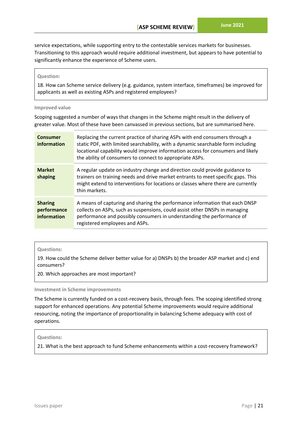service expectations, while supporting entry to the contestable services markets for businesses. Transitioning to this approach would require additional investment, but appears to have potential to significantly enhance the experience of Scheme users.

#### **Question:**

18. How can Scheme service delivery (e.g. guidance, system interface, timeframes) be improved for applicants as well as existing ASPs and registered employees?

#### **Improved value**

Scoping suggested a number of ways that changes in the Scheme might result in the delivery of greater value. Most of these have been canvassed in previous sections, but are summarised here.

| <b>Consumer</b><br>information               | Replacing the current practice of sharing ASPs with end consumers through a<br>static PDF, with limited searchability, with a dynamic searchable form including<br>locational capability would improve information access for consumers and likely<br>the ability of consumers to connect to appropriate ASPs. |
|----------------------------------------------|----------------------------------------------------------------------------------------------------------------------------------------------------------------------------------------------------------------------------------------------------------------------------------------------------------------|
| <b>Market</b><br>shaping                     | A regular update on industry change and direction could provide guidance to<br>trainers on training needs and drive market entrants to meet specific gaps. This<br>might extend to interventions for locations or classes where there are currently<br>thin markets.                                           |
| <b>Sharing</b><br>performance<br>information | A means of capturing and sharing the performance information that each DNSP<br>collects on ASPs, such as suspensions, could assist other DNSPs in managing<br>performance and possibly consumers in understanding the performance of<br>registered employees and ASPs.                                         |

#### **Questions:**

19. How could the Scheme deliver better value for a) DNSPs b) the broader ASP market and c) end consumers?

20. Which approaches are most important?

**Investment in Scheme improvements**

The Scheme is currently funded on a cost-recovery basis, through fees. The scoping identified strong support for enhanced operations. Any potential Scheme improvements would require additional resourcing, noting the importance of proportionality in balancing Scheme adequacy with cost of operations.

#### **Questions:**

21. What is the best approach to fund Scheme enhancements within a cost-recovery framework?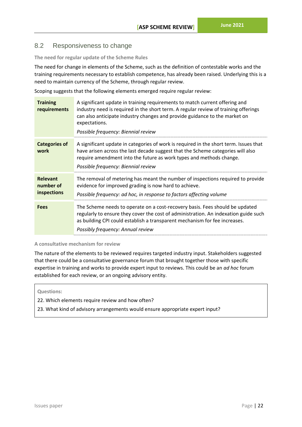## <span id="page-28-0"></span>8.2 Responsiveness to change

**The need for regular update of the Scheme Rules**

The need for change in elements of the Scheme, such as the definition of contestable works and the training requirements necessary to establish competence, has already been raised. Underlying this is a need to maintain currency of the Scheme, through regular review.

Scoping suggests that the following elements emerged require regular review:

| <b>Training</b><br>requirements             | A significant update in training requirements to match current offering and<br>industry need is required in the short term. A regular review of training offerings<br>can also anticipate industry changes and provide guidance to the market on<br>expectations.<br>Possible frequency: Biennial review |
|---------------------------------------------|----------------------------------------------------------------------------------------------------------------------------------------------------------------------------------------------------------------------------------------------------------------------------------------------------------|
| <b>Categories of</b><br>work                | A significant update in categories of work is required in the short term. Issues that<br>have arisen across the last decade suggest that the Scheme categories will also<br>require amendment into the future as work types and methods change.<br>Possible frequency: Biennial review                   |
| <b>Relevant</b><br>number of<br>inspections | The removal of metering has meant the number of inspections required to provide<br>evidence for improved grading is now hard to achieve.<br>Possible frequency: ad hoc, in response to factors affecting volume                                                                                          |
| <b>Fees</b>                                 | The Scheme needs to operate on a cost-recovery basis. Fees should be updated<br>regularly to ensure they cover the cost of administration. An indexation guide such<br>as building CPI could establish a transparent mechanism for fee increases.<br>Possibly frequency: Annual review                   |

#### **A consultative mechanism for review**

The nature of the elements to be reviewed requires targeted industry input. Stakeholders suggested that there could be a consultative governance forum that brought together those with specific expertise in training and works to provide expert input to reviews. This could be an *ad hoc* forum established for each review, or an ongoing advisory entity.

#### **Questions:**

- 22. Which elements require review and how often?
- 23. What kind of advisory arrangements would ensure appropriate expert input?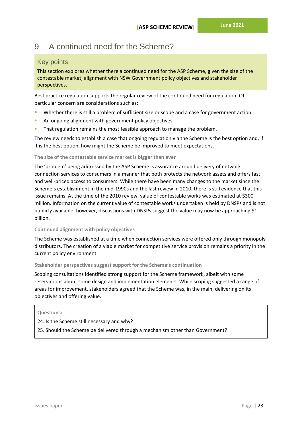# <span id="page-29-0"></span>9 A continued need for the Scheme?

## <span id="page-29-1"></span>Key points

This section explores whether there a continued need for the ASP Scheme, given the size of the contestable market, alignment with NSW Government policy objectives and stakeholder perspectives.

Best practice regulation supports the regular review of the continued need for regulation. Of particular concern are considerations such as:

- Whether there is still a problem of sufficient size or scope and a case for government action
- An ongoing alignment with government policy objectives
- That regulation remains the most feasible approach to manage the problem.

The review needs to establish a case that ongoing regulation via the Scheme is the best option and, if it is the best option, how might the Scheme be improved to meet expectations.

## **The size of the contestable service market is bigger than ever**

The 'problem' being addressed by the ASP Scheme is assurance around delivery of network connection services to consumers in a manner that both protects the network assets and offers fast and well-priced access to consumers. While there have been many changes to the market since the Scheme's establishment in the mid-1990s and the last review in 2010, there is still evidence that this issue remains. At the time of the 2010 review, value of contestable works was estimated at \$300 million. Information on the current value of contestable works undertaken is held by DNSPs and is not publicly available; however, discussions with DNSPs suggest the value may now be approaching \$1 billion.

## **Continued alignment with policy objectives**

The Scheme was established at a time when connection services were offered only through monopoly distributors. The creation of a viable market for competitive service provision remains a priority in the current policy environment.

## **Stakeholder perspectives suggest support for the Scheme's continuation**

Scoping consultations identified strong support for the Scheme framework, albeit with some reservations about some design and implementation elements. While scoping suggested a range of areas for improvement, stakeholders agreed that the Scheme was, in the main, delivering on its objectives and offering value.

## **Questions:**

24. Is the Scheme still necessary and why?

25. Should the Scheme be delivered through a mechanism other than Government?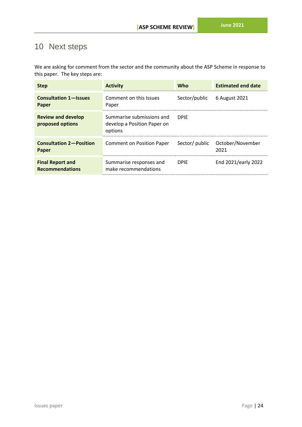# <span id="page-30-0"></span>10 Next steps

We are asking for comment from the sector and the community about the ASP Scheme in response to this paper. The key steps are:

| <b>Step</b>                                       | <b>Activity</b>                                                     | <b>Who</b>     | <b>Estimated end date</b> |
|---------------------------------------------------|---------------------------------------------------------------------|----------------|---------------------------|
| <b>Consultation 1-Issues</b><br>Paper             | Comment on this Issues<br>Paper                                     | Sector/public  | 6 August 2021             |
| <b>Review and develop</b><br>proposed options     | Summarise submissions and<br>develop a Position Paper on<br>options | <b>DPIE</b>    |                           |
| <b>Consultation 2-Position</b><br>Paper           | <b>Comment on Position Paper</b>                                    | Sector/ public | October/November<br>2021  |
| <b>Final Report and</b><br><b>Recommendations</b> | Summarise responses and<br>make recommendations                     | <b>DPIF</b>    | End 2021/early 2022       |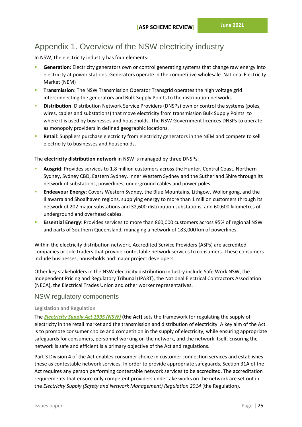# <span id="page-31-0"></span>Appendix 1. Overview of the NSW electricity industry

In NSW, the electricity industry has four elements:

- **Generation**: Electricity generators own or control generating systems that change raw energy into electricity at power stations. Generators operate in the competitive wholesale National Electricity Market (NEM)
- **Transmission**: The NSW Transmission Operator Transgrid operates the high voltage grid interconnecting the generators and Bulk Supply Points to the distribution networks
- **E** Distribution: Distribution Network Service Providers (DNSPs) own or control the systems (poles, wires, cables and substations) that move electricity from transmission Bulk Supply Points to where it is used by businesses and households. The NSW Government licences DNSPs to operate as monopoly providers in defined geographic locations.
- **Retail:** Suppliers purchase electricity from electricity generators in the NEM and compete to sell electricity to businesses and households.

The **electricity distribution network** in NSW is managed by three DNSPs:

- Ausgrid: Provides services to 1.8 million customers across the Hunter, Central Coast, Northern Sydney, Sydney CBD, Eastern Sydney, Inner Western Sydney and the Sutherland Shire through its network of substations, powerlines, underground cables and power poles.
- **Endeavour Energy:** Covers Western Sydney, the Blue Mountains, Lithgow, Wollongong, and the Illawarra and Shoalhaven regions, supplying energy to more than 1 million customers through its network of 202 major substations and 32,600 distribution substations, and 60,600 kilometres of underground and overhead cables.
- **Essential Energy**: Provides services to more than 860,000 customers across 95% of regional NSW and parts of Southern Queensland, managing a network of 183,000 km of powerlines.

Within the electricity distribution network, Accredited Service Providers (ASPs) are accredited companies or sole traders that provide contestable network services to consumers. These consumers include businesses, households and major project developers.

Other key stakeholders in the NSW electricity distribution industry include Safe Work NSW, the Independent Pricing and Regulatory Tribunal (IPART), the National Electrical Contractors Association (NECA), the Electrical Trades Union and other worker representatives.

## NSW regulatory components

#### **Legislation and Regulation**

The *[Electricity Supply Act 1995 \(NSW\)](https://legislation.nsw.gov.au/view/html/inforce/current/act-1995-094)* **(the Act)** sets the framework for regulating the supply of electricity in the retail market and the transmission and distribution of electricity. A key aim of the Act is to promote consumer choice and competition in the supply of electricity, while ensuring appropriate safeguards for consumers, personnel working on the network, and the network itself. Ensuring the network is safe and efficient is a primary objective of the Act and regulations.

Part 3 Division 4 of the Act enables consumer choice in customer connection services and establishes these as contestable network services. In order to provide appropriate safeguards, Section 31A of the Act requires any person performing contestable network services to be accredited. The accreditation requirements that ensure only competent providers undertake works on the network are set out in the *Electricity Supply (Safety and Network Management) Regulation 2014* (the Regulation).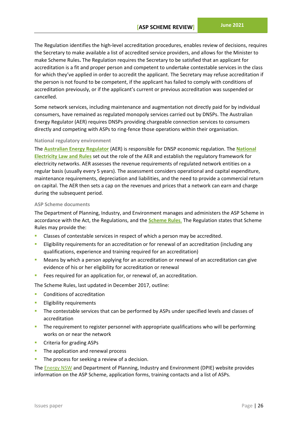The Regulation identifies the high-level accreditation procedures, enables review of decisions, requires the Secretary to make available a list of accredited service providers, and allows for the Minister to make Scheme Rules**.** The Regulation requires the Secretary to be satisfied that an applicant for accreditation is a fit and proper person and competent to undertake contestable services in the class for which they've applied in order to accredit the applicant. The Secretary may refuse accreditation if the person is not found to be competent, if the applicant has failed to comply with conditions of accreditation previously, or if the applicant's current or previous accreditation was suspended or cancelled.

Some network services, including maintenance and augmentation not directly paid for by individual consumers, have remained as regulated monopoly services carried out by DNSPs. The Australian Energy Regulator (AER) requires DNSPs providing chargeable connection services to consumers directly and competing with ASPs to ring-fence those operations within their organisation.

#### **National regulatory environment**

The **[Australian Energy Regulator](https://www.aer.gov.au/networks-pipelines)** (AER) is responsible for DNSP economic regulation. The **[National](https://www.aemc.gov.au/regulation/energy-rules/national-electricity-rules/current)  [Electricity Law and Rules](https://www.aemc.gov.au/regulation/energy-rules/national-electricity-rules/current)** set out the role of the AER and establish the regulatory framework for electricity networks. AER assesses the revenue requirements of regulated network entities on a regular basis (usually every 5 years). The assessment considers operational and capital expenditure, maintenance requirements, depreciation and liabilities, and the need to provide a commercial return on capital. The AER then sets a cap on the revenues and prices that a network can earn and charge during the subsequent period.

#### **ASP Scheme documents**

The Department of Planning, Industry, and Environment manages and administers the ASP Scheme in accordance with the Act, the Regulations, and the **[Scheme Rules](https://energy.nsw.gov.au/sites/default/files/2018-09/ASP-Scheme-Rules_December2017.pdf)**. The Regulation states that Scheme Rules may provide the:

- Classes of contestable services in respect of which a person may be accredited.
- Eligibility requirements for an accreditation or for renewal of an accreditation (including any qualifications, experience and training required for an accreditation)
- **E** Means by which a person applying for an accreditation or renewal of an accreditation can give evidence of his or her eligibility for accreditation or renewal
- Fees required for an application for, or renewal of, an accreditation.

The Scheme Rules, last updated in December 2017, outline:

- Conditions of accreditation
- **Eligibility requirements**
- The contestable services that can be performed by ASPs under specified levels and classes of accreditation
- The requirement to register personnel with appropriate qualifications who will be performing works on or near the network
- Criteria for grading ASPs
- The application and renewal process
- **·** The process for seeking a review of a decision.

The [Energy NSW](https://energy.nsw.gov.au/government-and-regulation/legislative-and-regulatory-requirements/asp-scheme-and-contestable-works) and Department of Planning, Industry and Environment (DPIE) website provides information on the ASP Scheme, application forms, training contacts and a list of ASPs.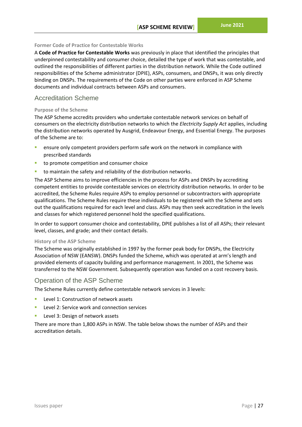#### **Former Code of Practice for Contestable Works**

A **Code of Practice for Contestable Works** was previously in place that identified the principles that underpinned contestability and consumer choice, detailed the type of work that was contestable, and outlined the responsibilities of different parties in the distribution network. While the Code outlined responsibilities of the Scheme administrator (DPIE), ASPs, consumers, and DNSPs, it was only directly binding on DNSPs. The requirements of the Code on other parties were enforced in ASP Scheme documents and individual contracts between ASPs and consumers.

## Accreditation Scheme

#### **Purpose of the Scheme**

The ASP Scheme accredits providers who undertake contestable network services on behalf of consumers on the electricity distribution networks to which the *Electricity Supply Act* applies, including the distribution networks operated by Ausgrid, Endeavour Energy, and Essential Energy. The purposes of the Scheme are to:

- ensure only competent providers perform safe work on the network in compliance with prescribed standards
- to promote competition and consumer choice
- to maintain the safety and reliability of the distribution networks.

The ASP Scheme aims to improve efficiencies in the process for ASPs and DNSPs by accrediting competent entities to provide contestable services on electricity distribution networks. In order to be accredited, the Scheme Rules require ASPs to employ personnel or subcontractors with appropriate qualifications. The Scheme Rules require these individuals to be registered with the Scheme and sets out the qualifications required for each level and class. ASPs may then seek accreditation in the levels and classes for which registered personnel hold the specified qualifications.

In order to support consumer choice and contestability, DPIE publishes a list of all ASPs; their relevant level, classes, and grade; and their contact details.

#### **History of the ASP Scheme**

The Scheme was originally established in 1997 by the former peak body for DNSPs, the Electricity Association of NSW (EANSW). DNSPs funded the Scheme, which was operated at arm's length and provided elements of capacity building and performance management. In 2001, the Scheme was transferred to the NSW Government. Subsequently operation was funded on a cost recovery basis.

## Operation of the ASP Scheme

The Scheme Rules currently define contestable network services in 3 levels:

- Level 1: Construction of network assets
- Level 2: Service work and connection services
- Level 3: Design of network assets

There are more than 1,800 ASPs in NSW. The table below shows the number of ASPs and their accreditation details.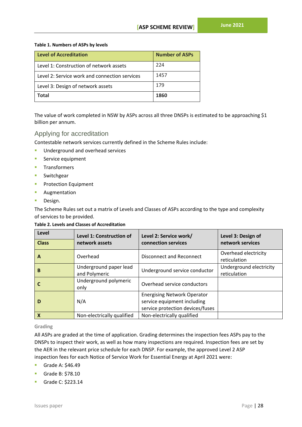#### **Table 1. Numbers of ASPs by levels**

| Level of Accreditation                        | <b>Number of ASPs</b> |
|-----------------------------------------------|-----------------------|
| Level 1: Construction of network assets       | 224                   |
| Level 2: Service work and connection services | 1457                  |
| Level 3: Design of network assets             | 179                   |
| Total                                         | 1860                  |

The value of work completed in NSW by ASPs across all three DNSPs is estimated to be approaching \$1 billion per annum.

## Applying for accreditation

Contestable network services currently defined in the Scheme Rules include:

- **■** Underground and overhead services
- Service equipment
- Transformers
- **Switchgear**
- **Protection Equipment**
- Augmentation
- Design.

The Scheme Rules set out a matrix of Levels and Classes of ASPs according to the type and complexity of services to be provided.

#### **Table 2. Levels and Classes of Accreditation**

| Level<br><b>Class</b>     | Level 1: Construction of<br>network assets | Level 2: Service work/<br>connection services                                                         | Level 3: Design of<br>network services  |
|---------------------------|--------------------------------------------|-------------------------------------------------------------------------------------------------------|-----------------------------------------|
| $\mathbf{A}$              | Overhead                                   | Disconnect and Reconnect                                                                              | Overhead electricity<br>reticulation    |
| B                         | Underground paper lead<br>and Polymeric    | Underground service conductor                                                                         | Underground electricity<br>reticulation |
|                           | Underground polymeric<br>only              | Overhead service conductors                                                                           |                                         |
| D                         | N/A                                        | <b>Energising Network Operator</b><br>service equipment including<br>service protection devices/fuses |                                         |
| $\boldsymbol{\mathsf{x}}$ | Non-electrically qualified                 | Non-electrically qualified                                                                            |                                         |

## **Grading**

All ASPs are graded at the time of application. Grading determines the inspection fees ASPs pay to the DNSPs to inspect their work, as well as how many inspections are required. Inspection fees are set by the AER in the relevant price schedule for each DNSP. For example, the approved Level 2 ASP inspection fees for each Notice of Service Work for Essential Energy at April 2021 were:

- Grade A: \$46.49
- Grade B: \$78.10
- Grade C: \$223.14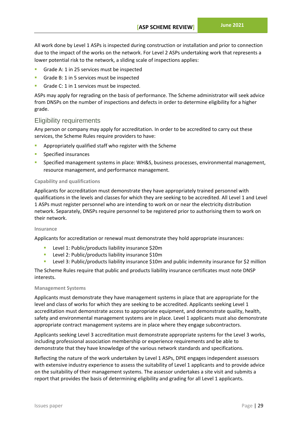All work done by Level 1 ASPs is inspected during construction or installation and prior to connection due to the impact of the works on the network. For Level 2 ASPs undertaking work that represents a lower potential risk to the network, a sliding scale of inspections applies:

- Grade A: 1 in 25 services must be inspected
- Grade B: 1 in 5 services must be inspected
- Grade C: 1 in 1 services must be inspected.

ASPs may apply for regrading on the basis of performance. The Scheme administrator will seek advice from DNSPs on the number of inspections and defects in order to determine eligibility for a higher grade.

## Eligibility requirements

Any person or company may apply for accreditation. In order to be accredited to carry out these services, the Scheme Rules require providers to have:

- Appropriately qualified staff who register with the Scheme
- Specified insurances
- Specified management systems in place: WH&S, business processes, environmental management, resource management, and performance management.

#### **Capability and qualifications**

Applicants for accreditation must demonstrate they have appropriately trained personnel with qualifications in the levels and classes for which they are seeking to be accredited. All Level 1 and Level 1 ASPs must register personnel who are intending to work on or near the electricity distribution network. Separately, DNSPs require personnel to be registered prior to authorising them to work on their network.

#### **Insurance**

Applicants for accreditation or renewal must demonstrate they hold appropriate insurances:

- Level 1: Public/products liability insurance \$20m
- Level 2: Public/products liability insurance \$10m
- Level 3: Public/products liability insurance \$10m and public indemnity insurance for \$2 million

The Scheme Rules require that public and products liability insurance certificates must note DNSP interests.

#### **Management Systems**

Applicants must demonstrate they have management systems in place that are appropriate for the level and class of works for which they are seeking to be accredited. Applicants seeking Level 1 accreditation must demonstrate access to appropriate equipment, and demonstrate quality, health, safety and environmental management systems are in place. Level 1 applicants must also demonstrate appropriate contract management systems are in place where they engage subcontractors.

Applicants seeking Level 3 accreditation must demonstrate appropriate systems for the Level 3 works, including professional association membership or experience requirements and be able to demonstrate that they have knowledge of the various network standards and specifications.

Reflecting the nature of the work undertaken by Level 1 ASPs, DPIE engages independent assessors with extensive industry experience to assess the suitability of Level 1 applicants and to provide advice on the suitability of their management systems. The assessor undertakes a site visit and submits a report that provides the basis of determining eligibility and grading for all Level 1 applicants.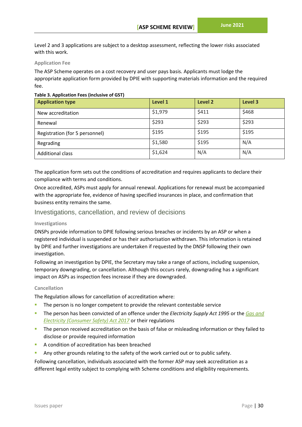Level 2 and 3 applications are subject to a desktop assessment, reflecting the lower risks associated with this work.

#### **Application Fee**

The ASP Scheme operates on a cost recovery and user pays basis. Applicants must lodge the appropriate application form provided by DPIE with supporting materials information and the required fee.

#### **Table 3. Application Fees (inclusive of GST)**

| <b>Application type</b>        | Level 1 | Level 2 | Level 3 |
|--------------------------------|---------|---------|---------|
| New accreditation              | \$1,979 | \$411   | \$468   |
| Renewal                        | \$293   | \$293   | \$293   |
| Registration (for 5 personnel) | \$195   | \$195   | \$195   |
| Regrading                      | \$1,580 | \$195   | N/A     |
| <b>Additional class</b>        | \$1,624 | N/A     | N/A     |

The application form sets out the conditions of accreditation and requires applicants to declare their compliance with terms and conditions.

Once accredited, ASPs must apply for annual renewal. Applications for renewal must be accompanied with the appropriate fee, evidence of having specified insurances in place, and confirmation that business entity remains the same.

## Investigations, cancellation, and review of decisions

#### **Investigations**

DNSPs provide information to DPIE following serious breaches or incidents by an ASP or when a registered individual is suspended or has their authorisation withdrawn. This information is retained by DPIE and further investigations are undertaken if requested by the DNSP following their own investigation.

Following an investigation by DPIE, the Secretary may take a range of actions, including suspension, temporary downgrading, or cancellation. Although this occurs rarely, downgrading has a significant impact on ASPs as inspection fees increase if they are downgraded.

#### **Cancellation**

The Regulation allows for cancellation of accreditation where:

- The person is no longer competent to provide the relevant contestable service
- The person has been convicted of an offence under the *Electricity Supply Act 1995* or the *[Gas and](https://legislation.nsw.gov.au/view/html/inforce/current/act-2017-015)  [Electricity \(Consumer Safety\) Act 2017](https://legislation.nsw.gov.au/view/html/inforce/current/act-2017-015)* or their regulations
- The person received accreditation on the basis of false or misleading information or they failed to disclose or provide required information
- A condition of accreditation has been breached
- Any other grounds relating to the safety of the work carried out or to public safety.

Following cancellation, individuals associated with the former ASP may seek accreditation as a different legal entity subject to complying with Scheme conditions and eligibility requirements.